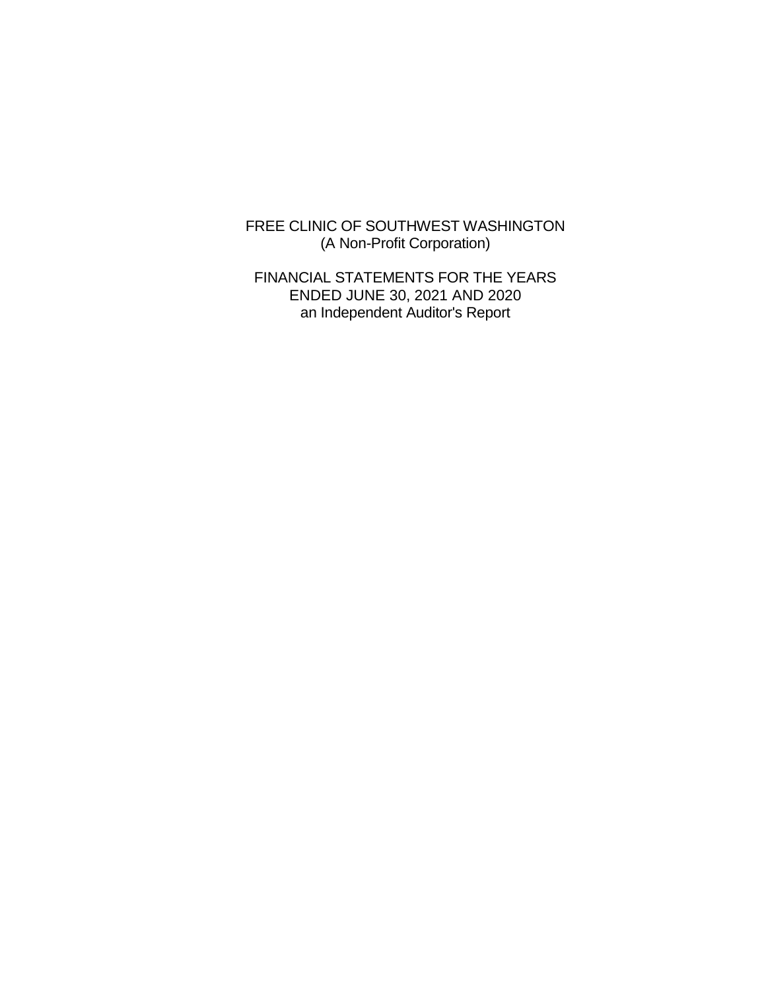FREE CLINIC OF SOUTHWEST WASHINGTON (A Non-Profit Corporation)

FINANCIAL STATEMENTS FOR THE YEARS ENDED JUNE 30, 2021 AND 2020 an Independent Auditor's Report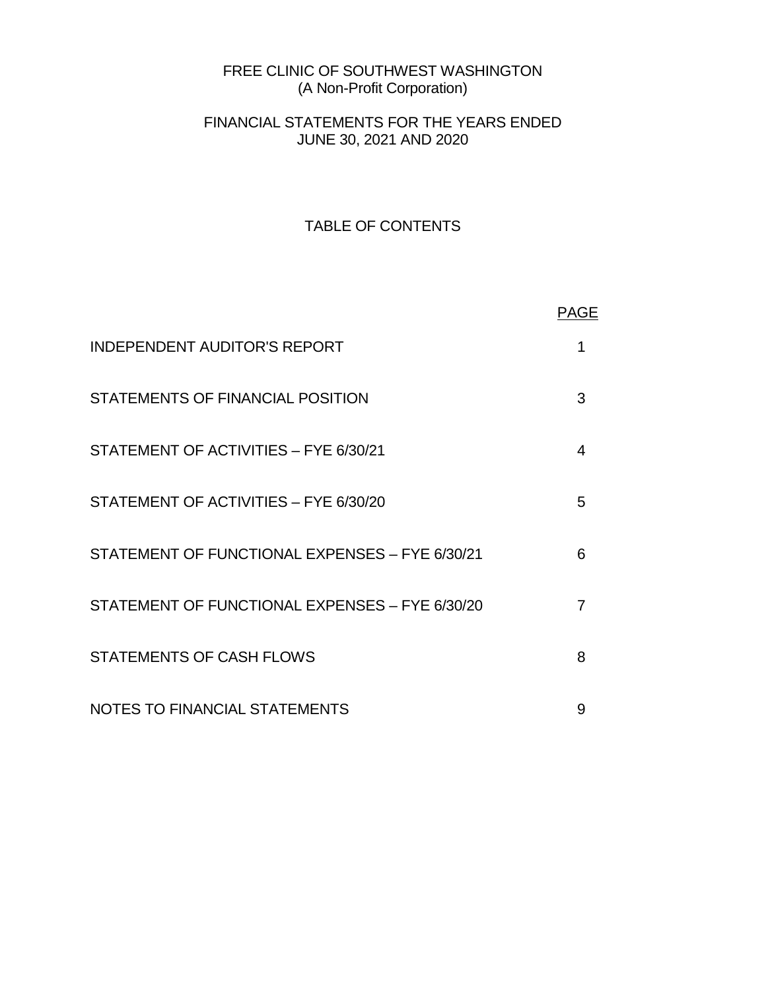# FREE CLINIC OF SOUTHWEST WASHINGTON (A Non-Profit Corporation)

# FINANCIAL STATEMENTS FOR THE YEARS ENDED JUNE 30, 2021 AND 2020

# TABLE OF CONTENTS

|                                                | <b>PAGE</b> |
|------------------------------------------------|-------------|
| <b>INDEPENDENT AUDITOR'S REPORT</b>            | 1           |
| STATEMENTS OF FINANCIAL POSITION               | 3           |
| STATEMENT OF ACTIVITIES - FYE 6/30/21          | 4           |
| STATEMENT OF ACTIVITIES - FYE 6/30/20          | 5           |
| STATEMENT OF FUNCTIONAL EXPENSES - FYE 6/30/21 | 6           |
| STATEMENT OF FUNCTIONAL EXPENSES - FYE 6/30/20 | 7           |
| <b>STATEMENTS OF CASH FLOWS</b>                | 8           |
| NOTES TO FINANCIAL STATEMENTS                  | 9           |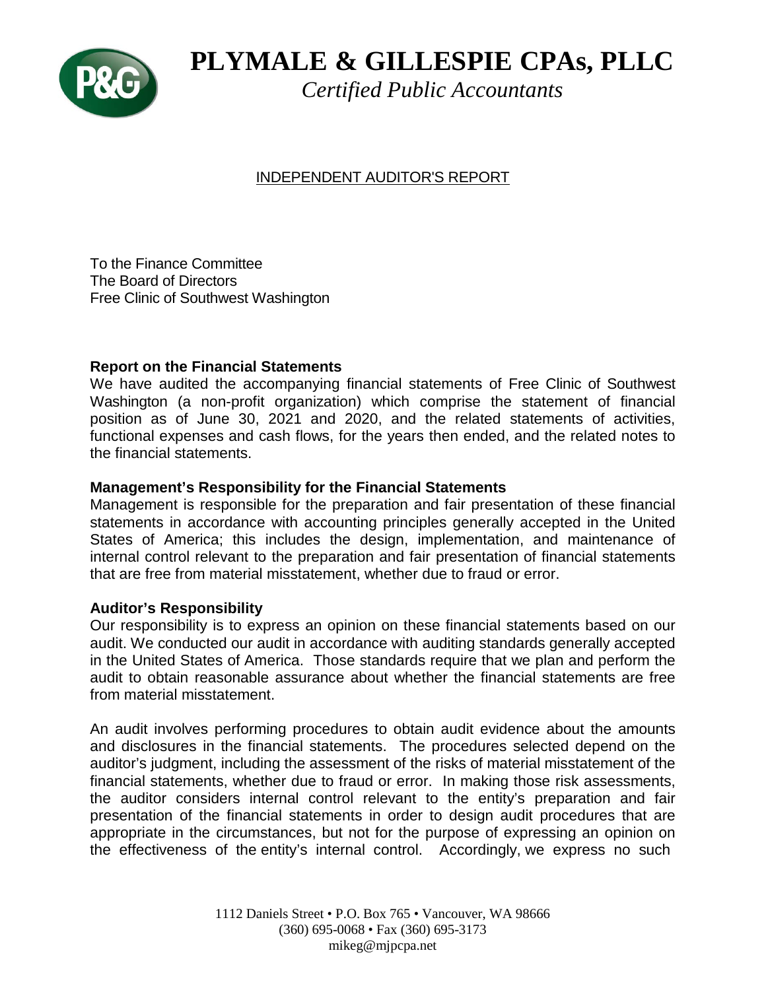

# **PLYMALE & GILLESPIE CPAs, PLLC**

*Certified Public Accountants*

# INDEPENDENT AUDITOR'S REPORT

To the Finance Committee The Board of Directors Free Clinic of Southwest Washington

# **Report on the Financial Statements**

We have audited the accompanying financial statements of Free Clinic of Southwest Washington (a non-profit organization) which comprise the statement of financial position as of June 30, 2021 and 2020, and the related statements of activities, functional expenses and cash flows, for the years then ended, and the related notes to the financial statements.

# **Management's Responsibility for the Financial Statements**

Management is responsible for the preparation and fair presentation of these financial statements in accordance with accounting principles generally accepted in the United States of America; this includes the design, implementation, and maintenance of internal control relevant to the preparation and fair presentation of financial statements that are free from material misstatement, whether due to fraud or error.

# **Auditor's Responsibility**

Our responsibility is to express an opinion on these financial statements based on our audit. We conducted our audit in accordance with auditing standards generally accepted in the United States of America. Those standards require that we plan and perform the audit to obtain reasonable assurance about whether the financial statements are free from material misstatement.

An audit involves performing procedures to obtain audit evidence about the amounts and disclosures in the financial statements. The procedures selected depend on the auditor's judgment, including the assessment of the risks of material misstatement of the financial statements, whether due to fraud or error. In making those risk assessments, the auditor considers internal control relevant to the entity's preparation and fair presentation of the financial statements in order to design audit procedures that are appropriate in the circumstances, but not for the purpose of expressing an opinion on the effectiveness of the entity's internal control. Accordingly, we express no such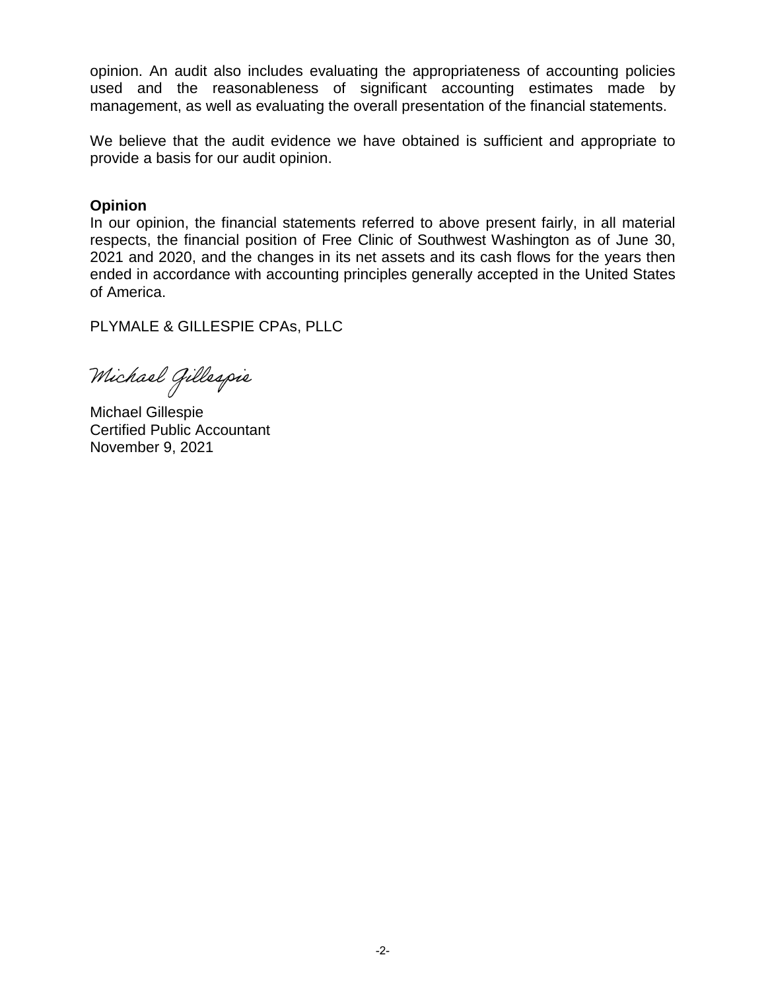opinion. An audit also includes evaluating the appropriateness of accounting policies used and the reasonableness of significant accounting estimates made by management, as well as evaluating the overall presentation of the financial statements.

We believe that the audit evidence we have obtained is sufficient and appropriate to provide a basis for our audit opinion.

# **Opinion**

In our opinion, the financial statements referred to above present fairly, in all material respects, the financial position of Free Clinic of Southwest Washington as of June 30, 2021 and 2020, and the changes in its net assets and its cash flows for the years then ended in accordance with accounting principles generally accepted in the United States of America.

PLYMALE & GILLESPIE CPAs, PLLC

Michael Gillespie

Michael Gillespie Certified Public Accountant November 9, 2021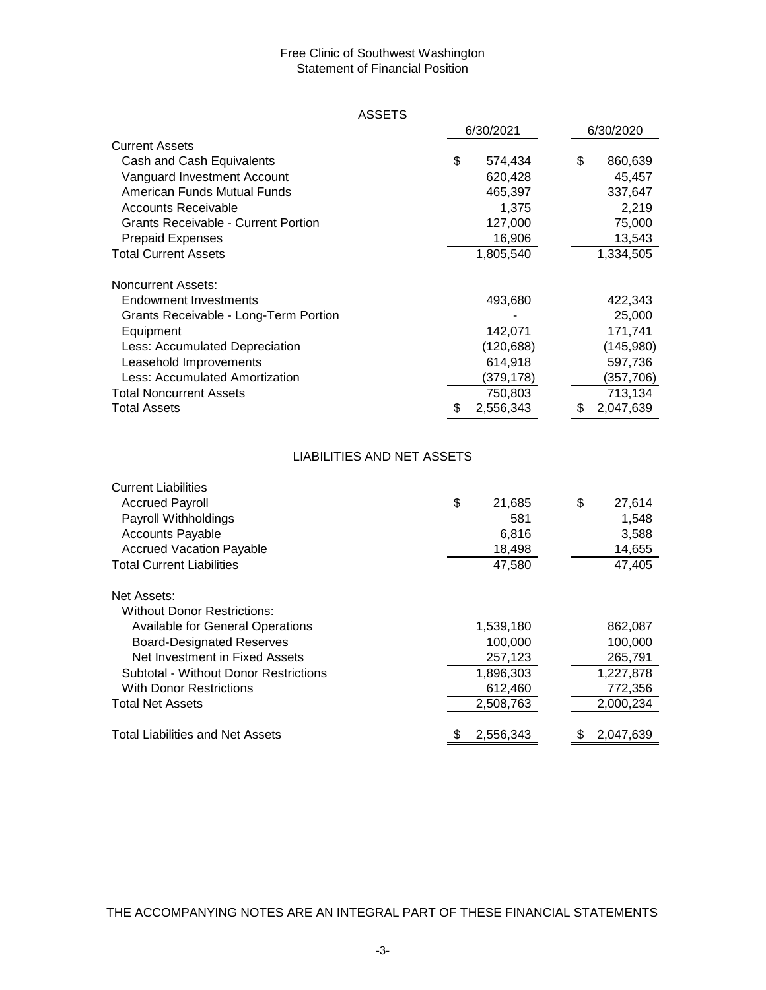# Statement of Financial Position Free Clinic of Southwest Washington

# ASSETS

|                                            | 6/30/2021     |  | 6/30/2020 |           |
|--------------------------------------------|---------------|--|-----------|-----------|
| <b>Current Assets</b>                      |               |  |           |           |
| Cash and Cash Equivalents                  | \$<br>574,434 |  | \$        | 860,639   |
| Vanguard Investment Account                | 620,428       |  |           | 45,457    |
| American Funds Mutual Funds                | 465,397       |  |           | 337,647   |
| <b>Accounts Receivable</b>                 | 1,375         |  |           | 2,219     |
| <b>Grants Receivable - Current Portion</b> | 127,000       |  |           | 75,000    |
| <b>Prepaid Expenses</b>                    | 16,906        |  |           | 13,543    |
| <b>Total Current Assets</b>                | 1,805,540     |  |           | 1,334,505 |
| <b>Noncurrent Assets:</b>                  |               |  |           |           |
| Endowment Investments                      | 493,680       |  |           | 422,343   |
| Grants Receivable - Long-Term Portion      |               |  |           | 25,000    |
| Equipment                                  | 142,071       |  |           | 171,741   |
| Less: Accumulated Depreciation             | (120, 688)    |  |           | (145,980) |
| Leasehold Improvements                     | 614,918       |  |           | 597,736   |
| Less: Accumulated Amortization             | (379,178)     |  |           | (357,706) |
| <b>Total Noncurrent Assets</b>             | 750,803       |  |           | 713,134   |
| <b>Total Assets</b>                        | 2,556,343     |  |           | 2,047,639 |

# LIABILITIES AND NET ASSETS

| <b>Current Liabilities</b>              |              |    |           |
|-----------------------------------------|--------------|----|-----------|
| <b>Accrued Payroll</b>                  | \$<br>21,685 | \$ | 27,614    |
| Payroll Withholdings                    | 581          |    | 1,548     |
| <b>Accounts Payable</b>                 | 6,816        |    | 3,588     |
| <b>Accrued Vacation Payable</b>         | 18,498       |    | 14,655    |
| <b>Total Current Liabilities</b>        | 47,580       |    | 47,405    |
| Net Assets:                             |              |    |           |
| Without Donor Restrictions:             |              |    |           |
| <b>Available for General Operations</b> | 1,539,180    |    | 862,087   |
| <b>Board-Designated Reserves</b>        | 100,000      |    | 100,000   |
| Net Investment in Fixed Assets          | 257,123      |    | 265,791   |
| Subtotal - Without Donor Restrictions   | 1,896,303    |    | 1,227,878 |
| <b>With Donor Restrictions</b>          | 612,460      |    | 772,356   |
| <b>Total Net Assets</b>                 | 2,508,763    |    | 2,000,234 |
| <b>Total Liabilities and Net Assets</b> | 2.556.343    | \$ | 2.047.639 |

THE ACCOMPANYING NOTES ARE AN INTEGRAL PART OF THESE FINANCIAL STATEMENTS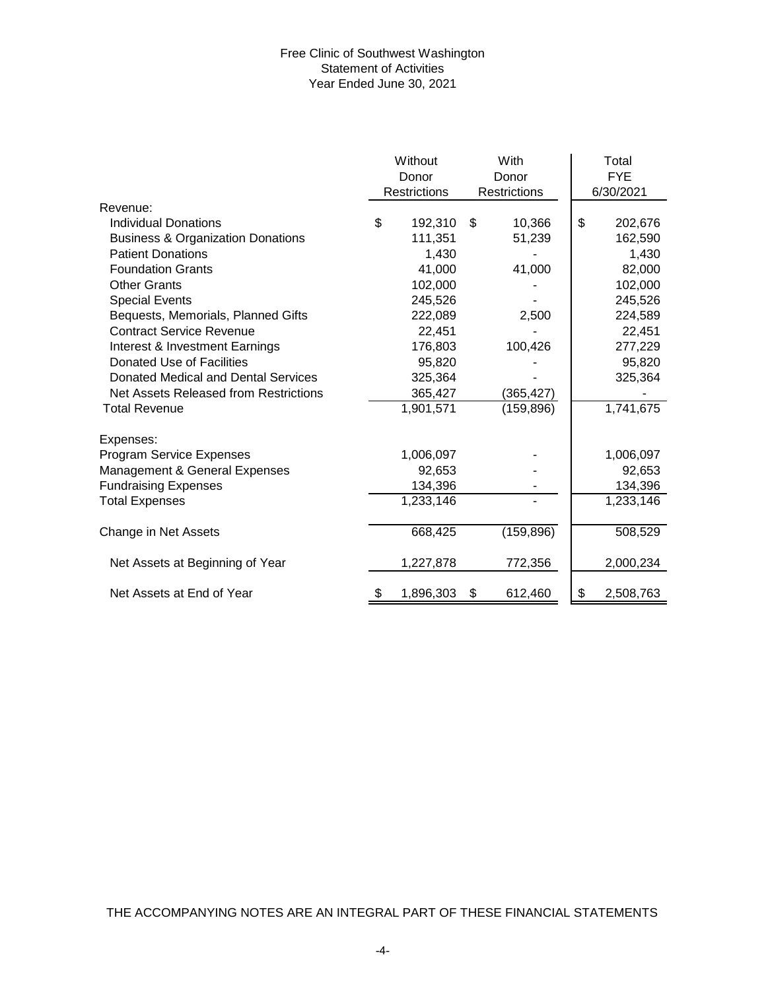# Free Clinic of Southwest Washington Statement of Activities Year Ended June 30, 2021

|                                              | Without<br>Donor    |     | With<br>Donor | Total<br><b>FYE</b><br>6/30/2021 |
|----------------------------------------------|---------------------|-----|---------------|----------------------------------|
| Revenue:                                     | <b>Restrictions</b> |     | Restrictions  |                                  |
| <b>Individual Donations</b>                  | \$                  | \$. | 10,366        | \$                               |
|                                              | 192,310             |     |               | 202,676                          |
| <b>Business &amp; Organization Donations</b> | 111,351             |     | 51,239        | 162,590                          |
| <b>Patient Donations</b>                     | 1,430               |     |               | 1,430                            |
| <b>Foundation Grants</b>                     | 41,000              |     | 41,000        | 82,000                           |
| <b>Other Grants</b>                          | 102,000             |     |               | 102,000                          |
| <b>Special Events</b>                        | 245,526             |     |               | 245,526                          |
| Bequests, Memorials, Planned Gifts           | 222,089             |     | 2,500         | 224,589                          |
| <b>Contract Service Revenue</b>              | 22,451              |     |               | 22,451                           |
| Interest & Investment Earnings               | 176,803             |     | 100,426       | 277,229                          |
| Donated Use of Facilities                    | 95,820              |     |               | 95,820                           |
| Donated Medical and Dental Services          | 325,364             |     |               | 325,364                          |
| Net Assets Released from Restrictions        | 365,427             |     | (365, 427)    |                                  |
| <b>Total Revenue</b>                         | 1,901,571           |     | (159, 896)    | 1,741,675                        |
| Expenses:                                    |                     |     |               |                                  |
| Program Service Expenses                     | 1,006,097           |     |               | 1,006,097                        |
| Management & General Expenses                | 92,653              |     |               | 92,653                           |
| <b>Fundraising Expenses</b>                  | 134,396             |     |               | 134,396                          |
| <b>Total Expenses</b>                        | 1,233,146           |     |               | 1,233,146                        |
| Change in Net Assets                         | 668,425             |     | (159, 896)    | 508,529                          |
| Net Assets at Beginning of Year              | 1,227,878           |     | 772,356       | 2,000,234                        |
| Net Assets at End of Year                    | \$<br>1,896,303     | \$  | 612,460       | \$<br>2,508,763                  |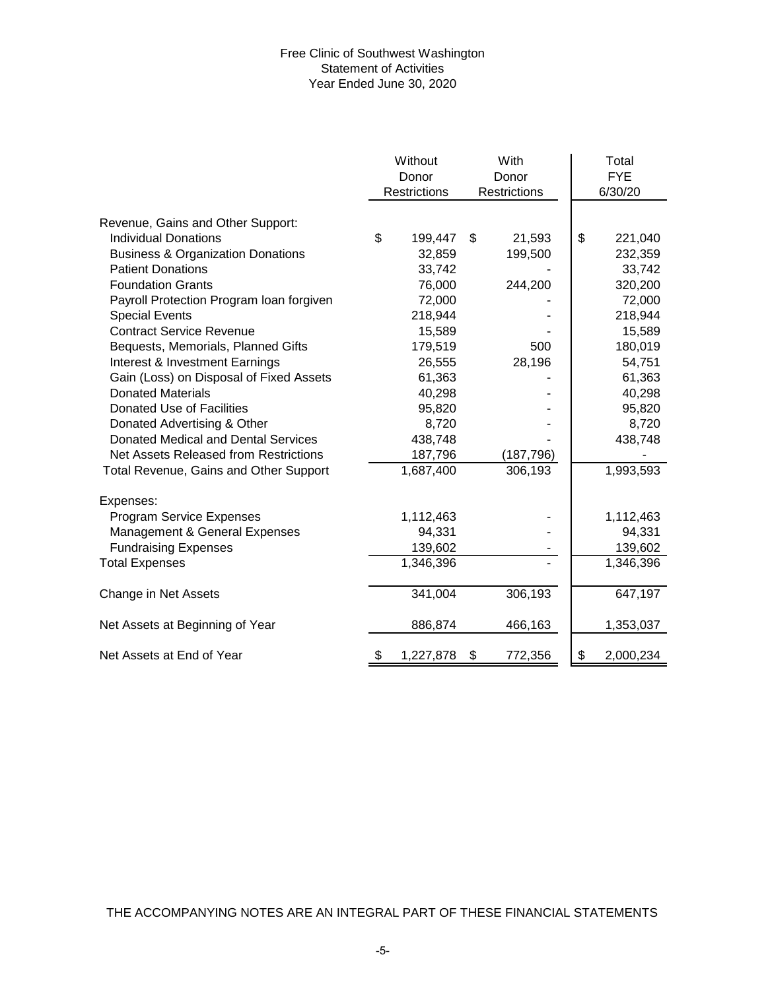# Free Clinic of Southwest Washington Statement of Activities Year Ended June 30, 2020

|                                              | Without<br>Donor    | With<br>Donor | Total<br><b>FYE</b> |
|----------------------------------------------|---------------------|---------------|---------------------|
|                                              | <b>Restrictions</b> | Restrictions  | 6/30/20             |
| Revenue, Gains and Other Support:            |                     |               |                     |
| <b>Individual Donations</b>                  | \$<br>199,447       | \$<br>21,593  | \$<br>221,040       |
| <b>Business &amp; Organization Donations</b> | 32,859              | 199,500       | 232,359             |
| <b>Patient Donations</b>                     | 33,742              |               | 33,742              |
| <b>Foundation Grants</b>                     | 76,000              | 244,200       | 320,200             |
| Payroll Protection Program Ioan forgiven     | 72,000              |               | 72,000              |
| <b>Special Events</b>                        | 218,944             |               | 218,944             |
| <b>Contract Service Revenue</b>              | 15,589              |               | 15,589              |
| Bequests, Memorials, Planned Gifts           | 179,519             | 500           | 180,019             |
| Interest & Investment Earnings               | 26,555              | 28,196        | 54,751              |
| Gain (Loss) on Disposal of Fixed Assets      | 61,363              |               | 61,363              |
| <b>Donated Materials</b>                     | 40,298              |               | 40,298              |
| Donated Use of Facilities                    | 95,820              |               | 95,820              |
| Donated Advertising & Other                  | 8,720               |               | 8,720               |
| Donated Medical and Dental Services          | 438,748             |               | 438,748             |
| Net Assets Released from Restrictions        | 187,796             | (187, 796)    |                     |
| Total Revenue, Gains and Other Support       | 1,687,400           | 306,193       | 1,993,593           |
| Expenses:                                    |                     |               |                     |
| Program Service Expenses                     | 1,112,463           |               | 1,112,463           |
| Management & General Expenses                | 94,331              |               | 94,331              |
| <b>Fundraising Expenses</b>                  | 139,602             |               | 139,602             |
| <b>Total Expenses</b>                        | 1,346,396           |               | 1,346,396           |
| Change in Net Assets                         | 341,004             | 306,193       | 647,197             |
| Net Assets at Beginning of Year              | 886,874             | 466,163       | 1,353,037           |
| Net Assets at End of Year                    | \$<br>1,227,878     | \$<br>772,356 | \$<br>2,000,234     |

THE ACCOMPANYING NOTES ARE AN INTEGRAL PART OF THESE FINANCIAL STATEMENTS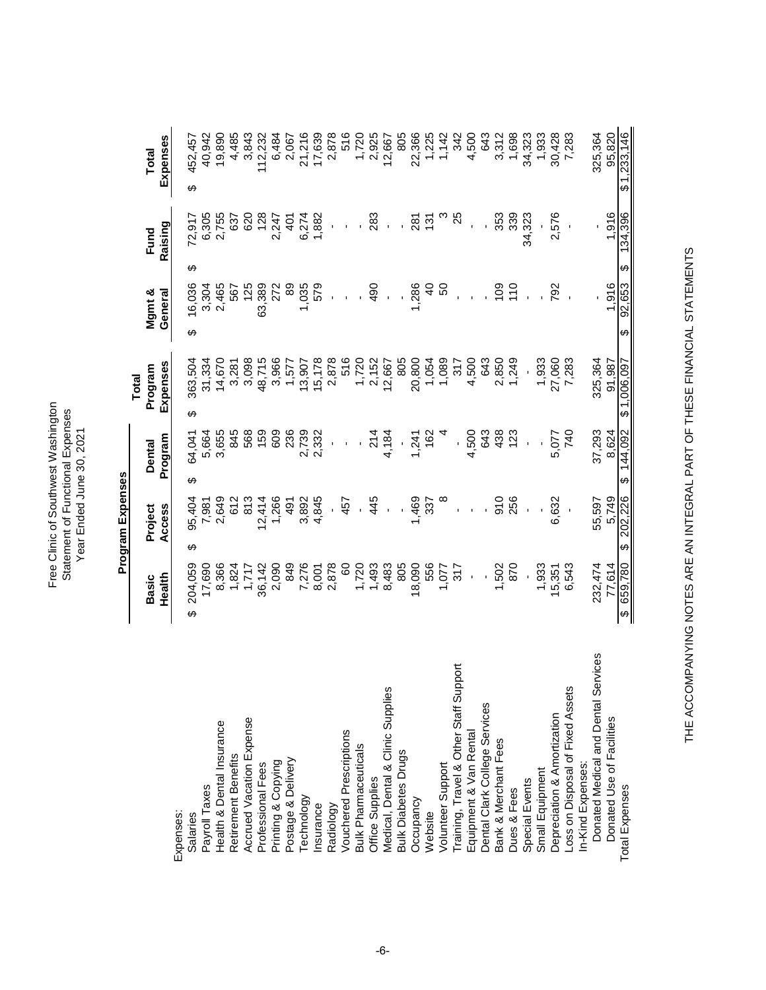Free Clinic of Southwest Washington<br>Statement of Functional Expenses<br>Year Ended June 30, 2021 Free Clinic of Southwest Washington Statement of Functional Expenses Year Ended June 30, 2021

**Program Expenses Program Expenses**

**Total**

|                                        | Basic                             |                        | Project    | <b>Dental</b> |                |   | Program     |   | Mgmt &         |                        | Fund        | Total        |
|----------------------------------------|-----------------------------------|------------------------|------------|---------------|----------------|---|-------------|---|----------------|------------------------|-------------|--------------|
|                                        | Health                            |                        | Access     | Program       |                |   | Expenses    |   | General        |                        | Raising     | Expenses     |
| Expenses:                              |                                   |                        |            |               |                |   |             |   |                |                        |             |              |
| Salaries                               | 204,059<br>↔                      | ക                      | 95,404     | ക             | 64,041         | ക | 363,504     | ക | 16,036         | ↮                      | 72,917      | 452,457<br>↔ |
| Payroll Taxes                          | 17,690                            |                        | 7,981      |               | 5,664          |   | 31,334      |   | 3,304          |                        | 6,305       | 40,942       |
| Health & Dental Insurance              | 8,366                             |                        | 2,649      |               | 3,655          |   | 14,670      |   | 2,465          |                        | 2,755       | 19,890       |
| Retirement Benefits                    | 1,824                             |                        | 612        |               | 845            |   | 3,281       |   | 567            |                        | 637         | 4,485        |
| Accrued Vacation Expense               | 1,717                             |                        | 813        |               | 568            |   | 3,098       |   | 125            |                        | 620         | 3,843        |
| Professional Fees                      | 36,142                            |                        | 12,414     |               | 159            |   | 48,715      |   | 63,389         |                        | 128         | 112,232      |
| Printing & Copying                     | 2,090                             |                        | 1,266      |               | 609            |   | 3,966       |   |                |                        | 2,247       | 6,484        |
| Postage & Delivery                     | 849                               |                        | 491        |               | 236            |   | 1,577       |   | 89             |                        | $rac{1}{4}$ | 2,067        |
| Technology                             | 7,276                             |                        | 3,892      |               | 2,739<br>2,332 |   | 13,907      |   | 1,035          |                        | 6,274       | 21,216       |
| Insurance                              |                                   |                        | 4,845      |               |                |   | 15,178      |   | 579            |                        | 1,882       | 17,639       |
| Radiology                              | 8,001<br>2,878                    |                        | J,         |               |                |   | 2,878       |   |                |                        |             | 2,878        |
| <b>Vouchered Prescriptions</b>         | $\frac{60}{2}$                    |                        | 457        |               | í,             |   | 516         |   | $\mathbf{r}$   |                        |             | 516          |
| <b>Bulk Pharmaceuticals</b>            | 1,720                             |                        |            |               |                |   | 1,720       |   |                |                        |             | 1,720        |
| Office Supplies                        | 1,493                             |                        | 445        |               | 214            |   | 2,152       |   | $\frac{5}{4}$  |                        | 283         | 2,925        |
| Medical, Dental & Clinic Supplies      | 8,483                             |                        |            |               | 4,184          |   | 12,667      |   |                |                        |             | 12,667       |
| <b>Bulk Diabetes Drugs</b>             | 805                               |                        |            |               |                |   | 805         |   |                |                        |             | 805          |
| Occupancy                              | 18,090                            |                        | 1,469      |               | 1,241          |   | 20,800      |   | 1,286          |                        | 281         | 22,366       |
| Website                                | 556                               |                        | 337        |               | 162            |   | 1,054       |   | $\overline{a}$ |                        | 131         | 1,225        |
| Volunteer Support                      | 1,077                             |                        |            |               |                |   | 1,089       |   | SO             |                        |             | 1,142        |
| Training, Travel & Other Staff Support | 317                               |                        |            |               |                |   | 317         |   |                |                        | 25          | 342          |
| Equipment & Van Rental                 | i,                                |                        |            |               | 4,500          |   | 4,500       |   |                |                        |             | 4,500        |
| Dental Clark College Services          |                                   |                        |            |               | 643            |   | 643         |   |                |                        |             | 643          |
|                                        | 1,502                             |                        | 910<br>256 |               | 438            |   | 2,850       |   | $rac{00}{10}$  |                        | 353         | 3,312        |
| Bank & Merchant Fees<br>Dues & Fees    | 870                               |                        |            |               | 123            |   | 1,249       |   |                |                        | 339         | 1,698        |
| Special Events                         |                                   |                        |            |               |                |   |             |   |                |                        | 34,323      | 34,323       |
| Small Equipment                        | 1,933                             |                        |            |               |                |   | 1,933       |   |                |                        |             | 1,933        |
| Depreciation & Amortization            | 15,351                            |                        | 6,632      |               | 5,077          |   | 27,060      |   | 792            |                        | 2,576       | 30,428       |
| Loss on Disposal of Fixed Assets       | 6,543                             |                        |            |               | 740            |   | 7,283       |   |                |                        |             | 7,283        |
| In-Kind Expenses:                      |                                   |                        |            |               |                |   |             |   |                |                        |             |              |
| Donated Medical and Dental Services    | 232,474                           |                        | 55,597     |               | 37,293         |   | 325,364     |   |                |                        |             | 325,364      |
| Donated Use of Facilities              | 77.614                            |                        | 5,749      |               | 8.624          |   | 91.987      |   | 1.916          |                        | 1,916       | 95,820       |
| <b>Total Expenses</b>                  | 659,780<br>$\boldsymbol{\varphi}$ | $\boldsymbol{\varphi}$ | 202,226    | $\Theta$      | 144,092        |   | \$1,006,097 | ↔ | 92,653         | $\boldsymbol{\varphi}$ | 134,396     | \$1,233,146  |

THE ACCOMPANYING NOTES ARE AN INTEGRAL PART OF THESE FINANCIAL STATEMENTS THE ACCOMPANYING NOTES ARE AN INTEGRAL PART OF THESE FINANCIAL STATEMENTS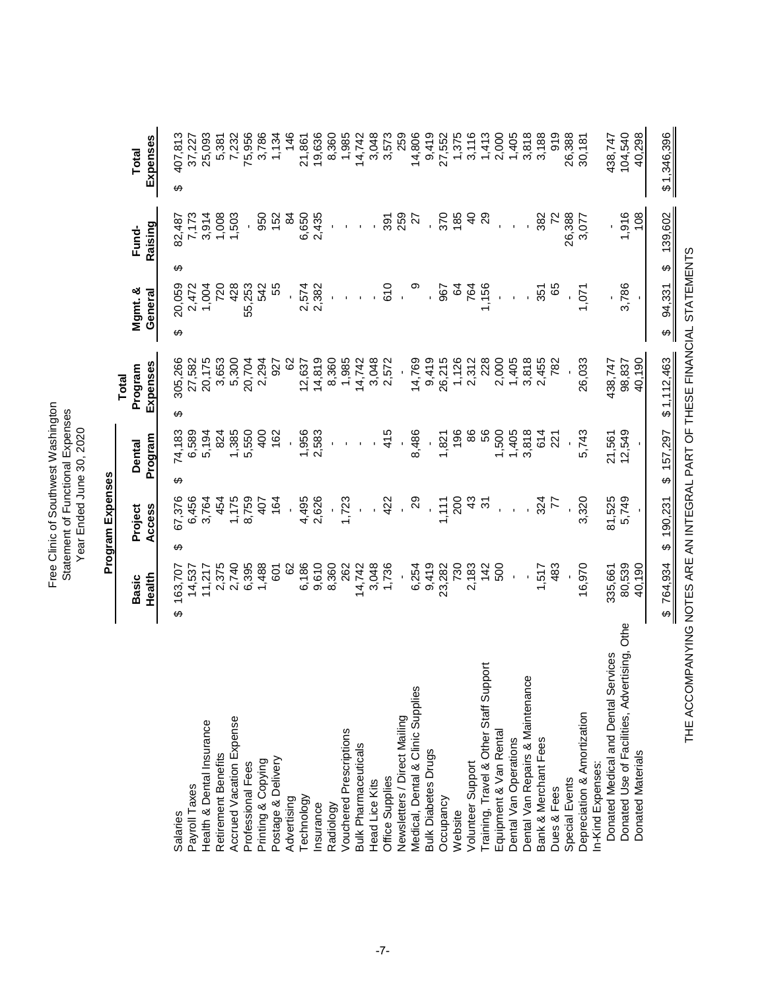Free Clinic of Southwest Washington Free Clinic of Southwest Washington Statement of Functional Expenses Statement of Functional Expenses Year Ended June 30, 2020 Year Ended June 30, 2020

19,636 259 14,806  $9,419$ 3,116 2,000 1,405 3,818 26,388 40,298 7,232 75,956 8,360 1,985 14,742 3,048 3,573 27,552 1,375  $1,413$ 3,188 919 104,540 407,813 Salaries 163,707 \$ 67,376 \$ 74,183 \$ 305,266 \$ 20,059 \$ 82,487 \$ 407,813 \$ Payroll Taxes 14,537 6,456 6,589 27,582 2,472 7,173 37,227 25,093 Health & Dental Insurance 11,217 3,764 5,194 20,175 1,004 3,914 25,093 Retirement Benefits 2,375 454 454 3,653 720 1,008 5,381 Accrued Vacation Expense 2,740 1,175 1,385 5,300 428 1,503 7,232 Professional Fees 6,395 8,759 5,550 20,704 55,253 - 75,956 3,786 Printing 2,788 407 407 407 542 960 3,798 542 407 542 960 3,798 542 542 960 407 542 542 542 542 542 542 542 542  $1,134$ Postage & Delivery 601 164 162 927 55 152 1,134 146 Advertising 62 - - 62 - 84 146 21,861 Technology 6,186 4,495 1,956 12,637 2,574 6,650 21,861 Insurance 9,610 2,626 2,583 14,819 2,382 2,435 19,636 Radiology 8,360 - - 8,360 - - 8,360 Vouchered Prescriptions 262 1,723 - 1,985 - - 1,985 Bulk Pharmaceuticals 14,742 - 14,742 - 14,742 - 9 - 14,742 - 9 - 14,742 - 14,742 - 14,742 - 14,742 - 14,742 - 14,742 - 14,742 - 14,742 - 14,742 - 14,742 - 14,742 - 14,742 - 14,742 - 14,742 - 14,742 - 14,742 - 14,742 - 14,7 Head Lice Kits 3,048 - - 3,048 - - 3,048 Office Supplies 1,736 422 415 2,572 610 391 3,573 Newsletters / Direct Mailing - - - - - 259 259 Nedical, Dental & Calinic Supplies 6,254 29 8,496 9,496 9,486 9,486 9,486 9 29 9 29 9 29 9 29 9 29 9 29 9 29 2 Buti Diabetes Drugs 9,000 - - 9,419 - - 9,419 - - 9,419 - - 9,419 - - 9,419 - - 9,419 - - 9,419 - - 9,419 - - Occupancy 23,282 1,111 1,821 26,215 967 370 27,552 Website 185 1,126 1,126 1,126 1,126 1,126 1,126 1,126 1,1275 Volunteer Support 2,183 43 86 2,312 764 40 3,116 Training, Travel & Other Staff Support 142 31 56 228 1,156 29 1,413 Equipment & Van Rental 500 - 1,500 2,000 - - 2,000 Dental Operations - - 1,405,405 - - 1,405,405 - 1,405,405 - 1,405,405 - 1,405,405 - 1,405 - 1,405 - 1,405 - 1, Dental Van Repairs & Maintenance - - 3,818 3,818 - - 3,818 Bank & Merchant Fees 1,517 324 614 2,455 351 382 3,188 Dues & Fees  $^{721}$   $^{721}$   $^{722}$   $^{783}$   $^{782}$   $^{782}$   $^{785}$   $^{72}$   $^{72}$ Special Events - - - - - 26,388 26,388 30,181 Depreciation & Amortization & Amortization 3,320 5,743 5,743 30,033 16.970 1,071 1,071 30,181 438,747 Donated Dand Dental and Dental Services 335,6661 81,525 21,525 335,863 217 - 438,747 - 438,747 -Donated Use of S762 5786 572,549 59,539 59,539 98,539 98,539 98,539 98,539 12,540 98,537 104,597 104,540 104,540 Donated Materials 40,190 - - 40,190 - 108 40,298 Expenses 37,227 5,381 **Health Access Program Expenses General Raising Expenses Total Basic Project Dental Program Mgmt. & Fund- Total** ക 7,173  $3,914$ 259 1,916 108  $000,$  $1,503$ 6,650 2,435 370  $\overline{4}$ 29 382 26,388 950 152  $\mathfrak{A}$ 391 27 185  $\overline{72}$ 3,077 82,487 Raising Fund-ക 20,059 428 542 2,574 2,382 764 1,156 3,786 2,472 1,004 55 610 720 55,253 967  $\mathfrak{g}$ 89 Mgmt. & 351  $1,071$ General  $\bar{\phantom{a}}$ ക 14,819 8,360 1,985 14,742 3,048 9,419 26,215 2,312 228  $3,818$ 98,837 40,190 27,582 20,175 2,294 12,637 2,572 14,769 1,126 2,000 26,033 305,266 3,653 5,300 20,704 927 8 1,405 2,455 138,747 Expenses 782 Program **Total** ↔ 74,183 12,549 6,589 1,385 5,550 1,956 2,583 415 8,486 196 1,500 1,405 3,818 614 5,743 21,561 5,194 824  $\frac{1}{2}$ 162 1,821 86 221 Program Dental Program Expenses **Program Expenses** မာ 5,749 67,376 6,456 4,495 2,626 1,723 200 324 3,320 81,525 3,764 1,175 8,759 164 29  $1,111$ 43 454 422 77  $407$ స్ Project Access J, ക 14,537  $11,217$ 2,375 2,740 6,395 1,488 601 6,186 9,610 8,360 262 14,742 3,048 1,736 6,254  $9,419$ 23,282 730 2,183 142 500 1,517 483 16,970 80,539 40,190 8 335,661 163,707 Health **Basic**  $\Theta$ Donated Use of Facilities, Advertising, Othe Donated Medical and Dental Services Training, Travel & Other Staff Support Dental Van Repairs & Maintenance Medical, Dental & Clinic Supplies Depreciation & Amortization Accrued Vacation Expense Newsletters / Direct Mailing Health & Dental Insurance **Vouchered Prescriptions** Equipment & Van Rental Dental Van Operations Bank & Merchant Fees **Bulk Pharmaceuticals Bulk Diabetes Drugs Donated Materials** Retirement Benefits Postage & Delivery Printing & Copying Professional Fees Volunteer Support In-Kind Expenses: In-Kind Expenses: Office Supplies Special Events **Head Lice Kits** Payroll Taxes Dues & Fees Advertising Technology Occupancy Radiology Insurance Website Salaries

THE ACCOMPANYING NOTES ARE AN INTEGRAL PART OF THESE FINANCIAL STATEMENTS

THE ACCOMPANYING NOTES ARE AN INTEGRAL PART OF THESE FINANCIAL STATEMENTS

\$1,346,396

\$ 139,602

 $$94,331$ 

 $$1,112,463$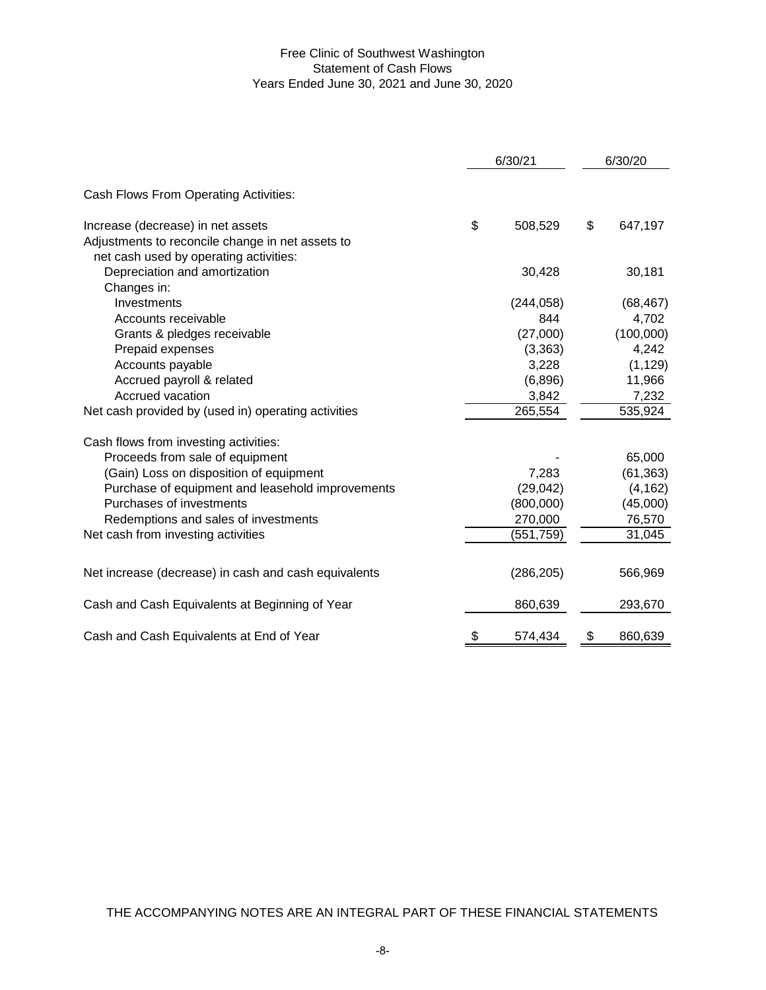# Free Clinic of Southwest Washington Statement of Cash Flows Years Ended June 30, 2021 and June 30, 2020

|                                                      | 6/30/21       | 6/30/20       |
|------------------------------------------------------|---------------|---------------|
| Cash Flows From Operating Activities:                |               |               |
| Increase (decrease) in net assets                    | \$<br>508,529 | \$<br>647,197 |
| Adjustments to reconcile change in net assets to     |               |               |
| net cash used by operating activities:               |               |               |
| Depreciation and amortization                        | 30,428        | 30,181        |
| Changes in:                                          |               |               |
| Investments                                          | (244, 058)    | (68, 467)     |
| Accounts receivable                                  | 844           | 4,702         |
| Grants & pledges receivable                          | (27,000)      | (100,000)     |
| Prepaid expenses                                     | (3, 363)      | 4,242         |
| Accounts payable                                     | 3,228         | (1, 129)      |
| Accrued payroll & related                            | (6,896)       | 11,966        |
| Accrued vacation                                     | 3,842         | 7,232         |
| Net cash provided by (used in) operating activities  | 265,554       | 535,924       |
| Cash flows from investing activities:                |               |               |
| Proceeds from sale of equipment                      |               | 65,000        |
| (Gain) Loss on disposition of equipment              | 7,283         | (61, 363)     |
| Purchase of equipment and leasehold improvements     | (29, 042)     | (4, 162)      |
| Purchases of investments                             | (800,000)     | (45,000)      |
| Redemptions and sales of investments                 | 270,000       | 76,570        |
| Net cash from investing activities                   | (551,759)     | 31,045        |
|                                                      |               |               |
| Net increase (decrease) in cash and cash equivalents | (286, 205)    | 566,969       |
| Cash and Cash Equivalents at Beginning of Year       | 860,639       | 293,670       |
| Cash and Cash Equivalents at End of Year             | \$<br>574,434 | \$<br>860,639 |

THE ACCOMPANYING NOTES ARE AN INTEGRAL PART OF THESE FINANCIAL STATEMENTS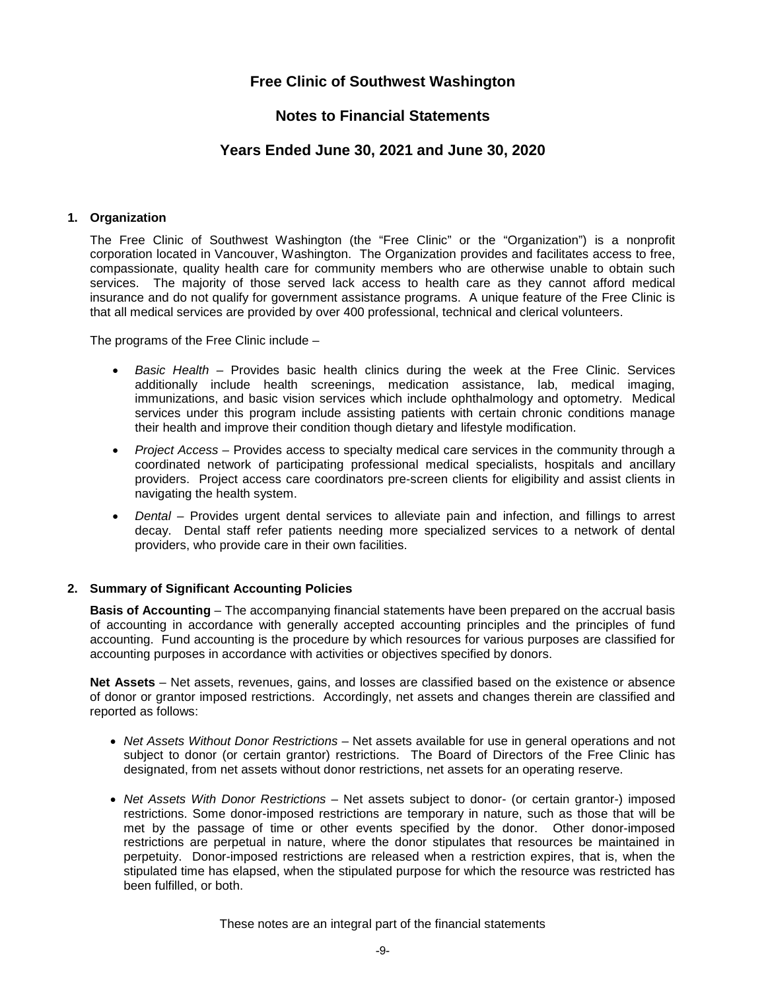# **Free Clinic of Southwest Washington**

# **Notes to Financial Statements**

# **Years Ended June 30, 2021 and June 30, 2020**

## **1. Organization**

The Free Clinic of Southwest Washington (the "Free Clinic" or the "Organization") is a nonprofit corporation located in Vancouver, Washington. The Organization provides and facilitates access to free, compassionate, quality health care for community members who are otherwise unable to obtain such services. The majority of those served lack access to health care as they cannot afford medical insurance and do not qualify for government assistance programs. A unique feature of the Free Clinic is that all medical services are provided by over 400 professional, technical and clerical volunteers.

The programs of the Free Clinic include –

- *Basic Health –* Provides basic health clinics during the week at the Free Clinic. Services additionally include health screenings, medication assistance, lab, medical imaging, immunizations, and basic vision services which include ophthalmology and optometry. Medical services under this program include assisting patients with certain chronic conditions manage their health and improve their condition though dietary and lifestyle modification.
- *Project Access –* Provides access to specialty medical care services in the community through a coordinated network of participating professional medical specialists, hospitals and ancillary providers. Project access care coordinators pre-screen clients for eligibility and assist clients in navigating the health system.
- *Dental –* Provides urgent dental services to alleviate pain and infection, and fillings to arrest decay. Dental staff refer patients needing more specialized services to a network of dental providers, who provide care in their own facilities.

## **2. Summary of Significant Accounting Policies**

**Basis of Accounting** – The accompanying financial statements have been prepared on the accrual basis of accounting in accordance with generally accepted accounting principles and the principles of fund accounting. Fund accounting is the procedure by which resources for various purposes are classified for accounting purposes in accordance with activities or objectives specified by donors.

**Net Assets** – Net assets, revenues, gains, and losses are classified based on the existence or absence of donor or grantor imposed restrictions. Accordingly, net assets and changes therein are classified and reported as follows:

- *Net Assets Without Donor Restrictions* Net assets available for use in general operations and not subject to donor (or certain grantor) restrictions. The Board of Directors of the Free Clinic has designated, from net assets without donor restrictions, net assets for an operating reserve.
- *Net Assets With Donor Restrictions* Net assets subject to donor- (or certain grantor-) imposed restrictions. Some donor-imposed restrictions are temporary in nature, such as those that will be met by the passage of time or other events specified by the donor. Other donor-imposed restrictions are perpetual in nature, where the donor stipulates that resources be maintained in perpetuity. Donor-imposed restrictions are released when a restriction expires, that is, when the stipulated time has elapsed, when the stipulated purpose for which the resource was restricted has been fulfilled, or both.

These notes are an integral part of the financial statements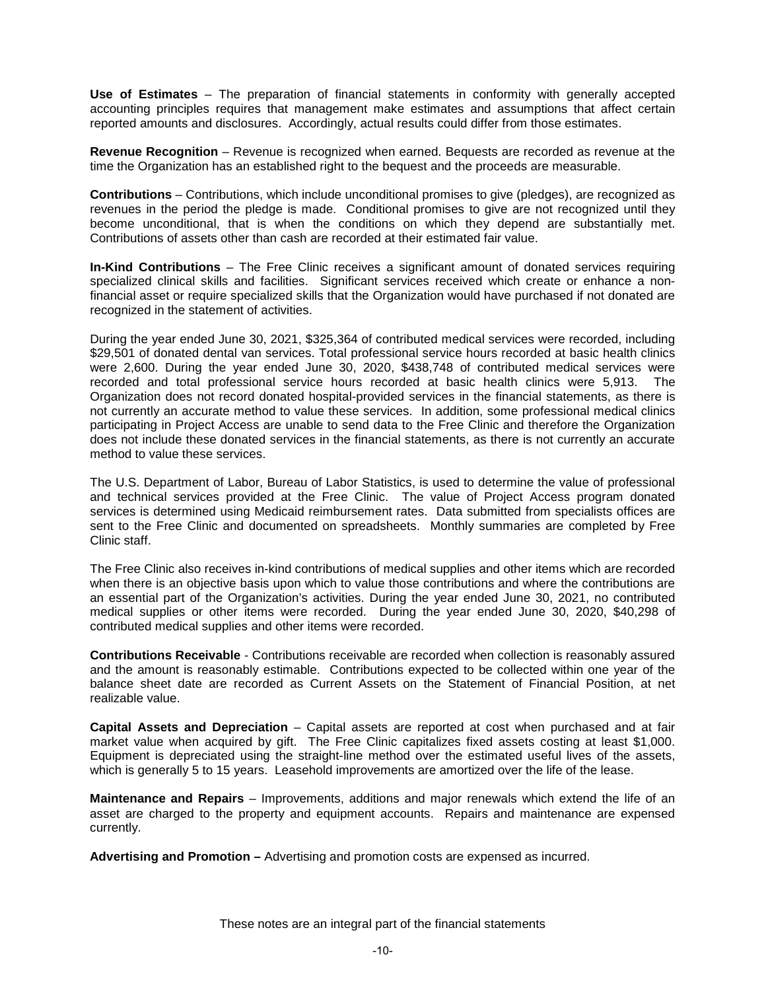**Use of Estimates** – The preparation of financial statements in conformity with generally accepted accounting principles requires that management make estimates and assumptions that affect certain reported amounts and disclosures. Accordingly, actual results could differ from those estimates.

**Revenue Recognition** – Revenue is recognized when earned. Bequests are recorded as revenue at the time the Organization has an established right to the bequest and the proceeds are measurable.

**Contributions** – Contributions, which include unconditional promises to give (pledges), are recognized as revenues in the period the pledge is made. Conditional promises to give are not recognized until they become unconditional, that is when the conditions on which they depend are substantially met. Contributions of assets other than cash are recorded at their estimated fair value.

**In-Kind Contributions** – The Free Clinic receives a significant amount of donated services requiring specialized clinical skills and facilities. Significant services received which create or enhance a nonfinancial asset or require specialized skills that the Organization would have purchased if not donated are recognized in the statement of activities.

During the year ended June 30, 2021, \$325,364 of contributed medical services were recorded, including \$29,501 of donated dental van services. Total professional service hours recorded at basic health clinics were 2,600. During the year ended June 30, 2020, \$438,748 of contributed medical services were recorded and total professional service hours recorded at basic health clinics were 5,913. The Organization does not record donated hospital-provided services in the financial statements, as there is not currently an accurate method to value these services. In addition, some professional medical clinics participating in Project Access are unable to send data to the Free Clinic and therefore the Organization does not include these donated services in the financial statements, as there is not currently an accurate method to value these services.

The U.S. Department of Labor, Bureau of Labor Statistics, is used to determine the value of professional and technical services provided at the Free Clinic. The value of Project Access program donated services is determined using Medicaid reimbursement rates. Data submitted from specialists offices are sent to the Free Clinic and documented on spreadsheets. Monthly summaries are completed by Free Clinic staff.

The Free Clinic also receives in-kind contributions of medical supplies and other items which are recorded when there is an objective basis upon which to value those contributions and where the contributions are an essential part of the Organization's activities. During the year ended June 30, 2021, no contributed medical supplies or other items were recorded. During the year ended June 30, 2020, \$40,298 of contributed medical supplies and other items were recorded.

**Contributions Receivable** - Contributions receivable are recorded when collection is reasonably assured and the amount is reasonably estimable. Contributions expected to be collected within one year of the balance sheet date are recorded as Current Assets on the Statement of Financial Position, at net realizable value.

**Capital Assets and Depreciation** – Capital assets are reported at cost when purchased and at fair market value when acquired by gift. The Free Clinic capitalizes fixed assets costing at least \$1,000. Equipment is depreciated using the straight-line method over the estimated useful lives of the assets, which is generally 5 to 15 years. Leasehold improvements are amortized over the life of the lease.

**Maintenance and Repairs** – Improvements, additions and major renewals which extend the life of an asset are charged to the property and equipment accounts. Repairs and maintenance are expensed currently.

**Advertising and Promotion –** Advertising and promotion costs are expensed as incurred.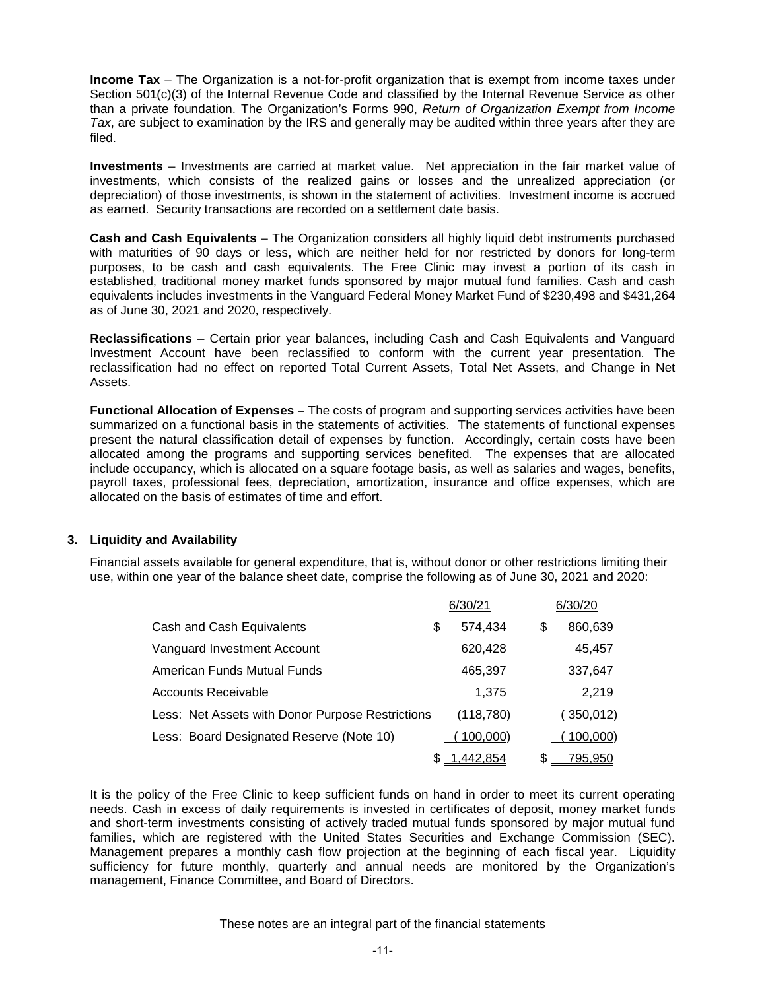**Income Tax** – The Organization is a not-for-profit organization that is exempt from income taxes under Section 501(c)(3) of the Internal Revenue Code and classified by the Internal Revenue Service as other than a private foundation. The Organization's Forms 990, *Return of Organization Exempt from Income Tax*, are subject to examination by the IRS and generally may be audited within three years after they are filed.

**Investments** – Investments are carried at market value. Net appreciation in the fair market value of investments, which consists of the realized gains or losses and the unrealized appreciation (or depreciation) of those investments, is shown in the statement of activities. Investment income is accrued as earned. Security transactions are recorded on a settlement date basis.

**Cash and Cash Equivalents** – The Organization considers all highly liquid debt instruments purchased with maturities of 90 days or less, which are neither held for nor restricted by donors for long-term purposes, to be cash and cash equivalents. The Free Clinic may invest a portion of its cash in established, traditional money market funds sponsored by major mutual fund families. Cash and cash equivalents includes investments in the Vanguard Federal Money Market Fund of \$230,498 and \$431,264 as of June 30, 2021 and 2020, respectively.

**Reclassifications** – Certain prior year balances, including Cash and Cash Equivalents and Vanguard Investment Account have been reclassified to conform with the current year presentation. The reclassification had no effect on reported Total Current Assets, Total Net Assets, and Change in Net Assets.

**Functional Allocation of Expenses –** The costs of program and supporting services activities have been summarized on a functional basis in the statements of activities. The statements of functional expenses present the natural classification detail of expenses by function. Accordingly, certain costs have been allocated among the programs and supporting services benefited. The expenses that are allocated include occupancy, which is allocated on a square footage basis, as well as salaries and wages, benefits, payroll taxes, professional fees, depreciation, amortization, insurance and office expenses, which are allocated on the basis of estimates of time and effort.

# **3. Liquidity and Availability**

Financial assets available for general expenditure, that is, without donor or other restrictions limiting their use, within one year of the balance sheet date, comprise the following as of June 30, 2021 and 2020:

|                                                  | 6/30/21       |   | 6/30/20    |
|--------------------------------------------------|---------------|---|------------|
| Cash and Cash Equivalents                        | \$<br>574,434 | S | 860,639    |
| Vanguard Investment Account                      | 620,428       |   | 45,457     |
| American Funds Mutual Funds                      | 465,397       |   | 337,647    |
| <b>Accounts Receivable</b>                       | 1.375         |   | 2,219      |
| Less: Net Assets with Donor Purpose Restrictions | (118, 780)    |   | (350, 012) |
| Less: Board Designated Reserve (Note 10)         | 100,000)      |   | 100,000)   |
|                                                  | 1,442,854     | S | 795.950    |

It is the policy of the Free Clinic to keep sufficient funds on hand in order to meet its current operating needs. Cash in excess of daily requirements is invested in certificates of deposit, money market funds and short-term investments consisting of actively traded mutual funds sponsored by major mutual fund families, which are registered with the United States Securities and Exchange Commission (SEC). Management prepares a monthly cash flow projection at the beginning of each fiscal year. Liquidity sufficiency for future monthly, quarterly and annual needs are monitored by the Organization's management, Finance Committee, and Board of Directors.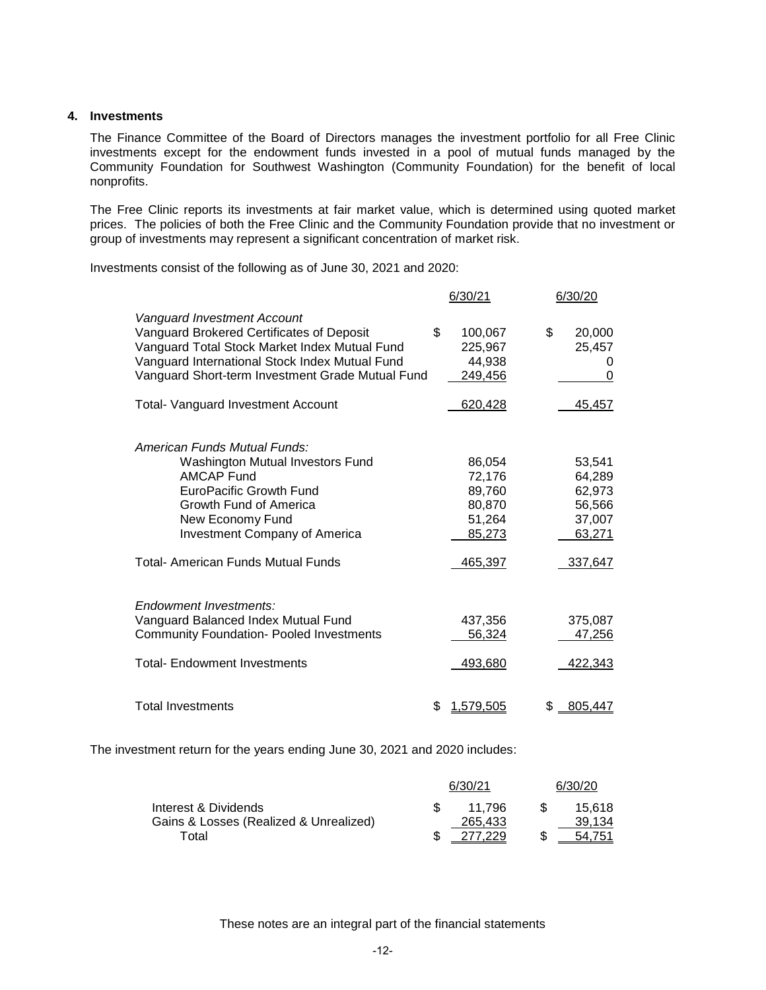#### **4. Investments**

The Finance Committee of the Board of Directors manages the investment portfolio for all Free Clinic investments except for the endowment funds invested in a pool of mutual funds managed by the Community Foundation for Southwest Washington (Community Foundation) for the benefit of local nonprofits.

The Free Clinic reports its investments at fair market value, which is determined using quoted market prices. The policies of both the Free Clinic and the Community Foundation provide that no investment or group of investments may represent a significant concentration of market risk.

Investments consist of the following as of June 30, 2021 and 2020:

|                                                                                                                                                                                                                                                                              | 6/30/21                                                  | 6/30/20                                                  |
|------------------------------------------------------------------------------------------------------------------------------------------------------------------------------------------------------------------------------------------------------------------------------|----------------------------------------------------------|----------------------------------------------------------|
| Vanguard Investment Account<br>Vanguard Brokered Certificates of Deposit<br>Vanguard Total Stock Market Index Mutual Fund<br>Vanguard International Stock Index Mutual Fund<br>Vanguard Short-term Investment Grade Mutual Fund<br><b>Total- Vanguard Investment Account</b> | \$<br>100,067<br>225,967<br>44,938<br>249,456<br>620,428 | \$<br>20,000<br>25,457<br>0<br>0<br>45,457               |
| American Funds Mutual Funds:<br>Washington Mutual Investors Fund<br><b>AMCAP Fund</b><br><b>EuroPacific Growth Fund</b><br>Growth Fund of America<br>New Economy Fund<br><b>Investment Company of America</b>                                                                | 86,054<br>72,176<br>89,760<br>80,870<br>51,264<br>85,273 | 53,541<br>64,289<br>62,973<br>56,566<br>37,007<br>63,271 |
| <b>Total- American Funds Mutual Funds</b>                                                                                                                                                                                                                                    | 465,397                                                  | 337,647                                                  |
| Endowment Investments:<br>Vanguard Balanced Index Mutual Fund<br><b>Community Foundation- Pooled Investments</b><br><b>Total- Endowment Investments</b>                                                                                                                      | 437,356<br>56,324<br>493,680                             | 375,087<br>47,256<br>422,343                             |
| <b>Total Investments</b>                                                                                                                                                                                                                                                     | 1,579,505                                                | S<br>805,447                                             |

The investment return for the years ending June 30, 2021 and 2020 includes:

|                                        | 6/30/21 | 6/30/20 |
|----------------------------------------|---------|---------|
| Interest & Dividends                   | 11.796  | 15.618  |
| Gains & Losses (Realized & Unrealized) | 265.433 | 39.134  |
| Total                                  | 277.229 | 54.751  |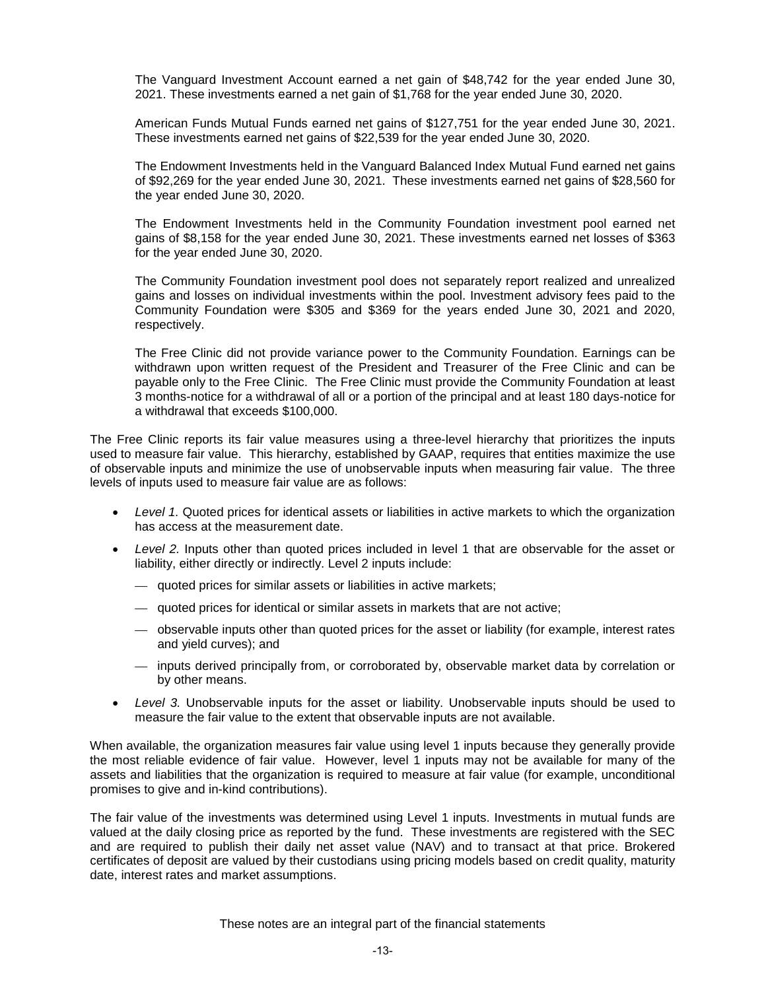The Vanguard Investment Account earned a net gain of \$48,742 for the year ended June 30, 2021. These investments earned a net gain of \$1,768 for the year ended June 30, 2020.

American Funds Mutual Funds earned net gains of \$127,751 for the year ended June 30, 2021. These investments earned net gains of \$22,539 for the year ended June 30, 2020.

The Endowment Investments held in the Vanguard Balanced Index Mutual Fund earned net gains of \$92,269 for the year ended June 30, 2021. These investments earned net gains of \$28,560 for the year ended June 30, 2020.

The Endowment Investments held in the Community Foundation investment pool earned net gains of \$8,158 for the year ended June 30, 2021. These investments earned net losses of \$363 for the year ended June 30, 2020.

The Community Foundation investment pool does not separately report realized and unrealized gains and losses on individual investments within the pool. Investment advisory fees paid to the Community Foundation were \$305 and \$369 for the years ended June 30, 2021 and 2020, respectively.

The Free Clinic did not provide variance power to the Community Foundation. Earnings can be withdrawn upon written request of the President and Treasurer of the Free Clinic and can be payable only to the Free Clinic. The Free Clinic must provide the Community Foundation at least 3 months-notice for a withdrawal of all or a portion of the principal and at least 180 days-notice for a withdrawal that exceeds \$100,000.

The Free Clinic reports its fair value measures using a three-level hierarchy that prioritizes the inputs used to measure fair value. This hierarchy, established by GAAP, requires that entities maximize the use of observable inputs and minimize the use of unobservable inputs when measuring fair value. The three levels of inputs used to measure fair value are as follows:

- *Level 1.* Quoted prices for identical assets or liabilities in active markets to which the organization has access at the measurement date.
- *Level 2.* Inputs other than quoted prices included in level 1 that are observable for the asset or liability, either directly or indirectly. Level 2 inputs include:
	- quoted prices for similar assets or liabilities in active markets;
	- quoted prices for identical or similar assets in markets that are not active;
	- observable inputs other than quoted prices for the asset or liability (for example, interest rates and yield curves); and
	- inputs derived principally from, or corroborated by, observable market data by correlation or by other means.
- *Level 3.* Unobservable inputs for the asset or liability. Unobservable inputs should be used to measure the fair value to the extent that observable inputs are not available.

When available, the organization measures fair value using level 1 inputs because they generally provide the most reliable evidence of fair value. However, level 1 inputs may not be available for many of the assets and liabilities that the organization is required to measure at fair value (for example, unconditional promises to give and in-kind contributions).

The fair value of the investments was determined using Level 1 inputs. Investments in mutual funds are valued at the daily closing price as reported by the fund. These investments are registered with the SEC and are required to publish their daily net asset value (NAV) and to transact at that price. Brokered certificates of deposit are valued by their custodians using pricing models based on credit quality, maturity date, interest rates and market assumptions.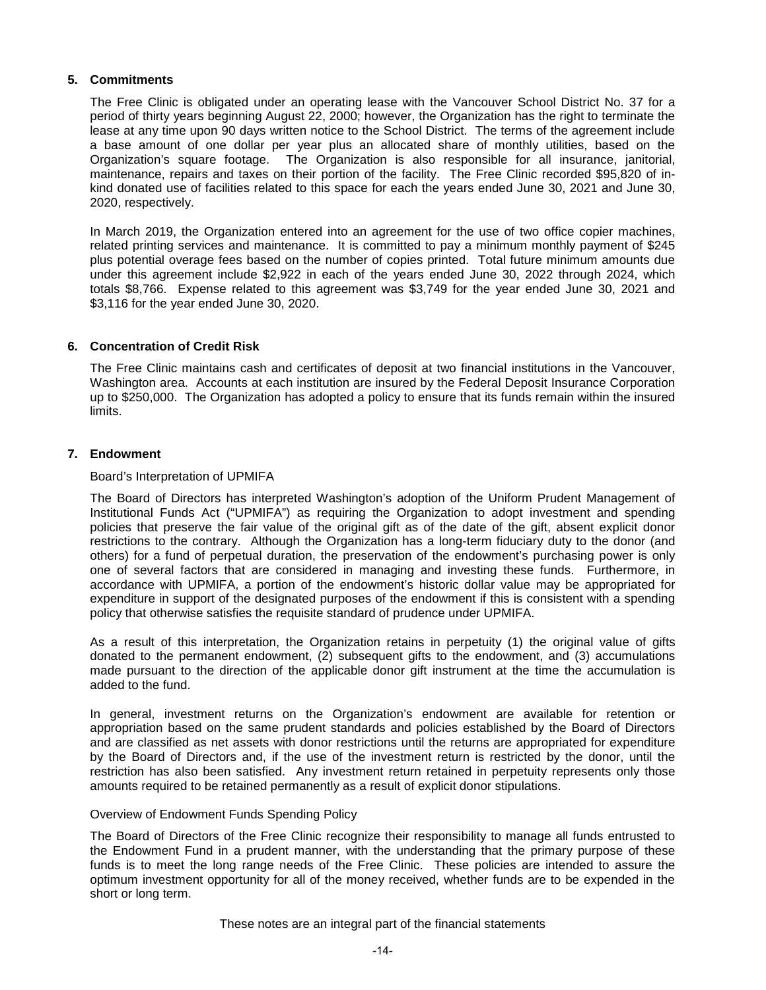## **5. Commitments**

The Free Clinic is obligated under an operating lease with the Vancouver School District No. 37 for a period of thirty years beginning August 22, 2000; however, the Organization has the right to terminate the lease at any time upon 90 days written notice to the School District. The terms of the agreement include a base amount of one dollar per year plus an allocated share of monthly utilities, based on the Organization's square footage. The Organization is also responsible for all insurance, janitorial, maintenance, repairs and taxes on their portion of the facility. The Free Clinic recorded \$95,820 of inkind donated use of facilities related to this space for each the years ended June 30, 2021 and June 30, 2020, respectively.

In March 2019, the Organization entered into an agreement for the use of two office copier machines, related printing services and maintenance. It is committed to pay a minimum monthly payment of \$245 plus potential overage fees based on the number of copies printed. Total future minimum amounts due under this agreement include \$2,922 in each of the years ended June 30, 2022 through 2024, which totals \$8,766. Expense related to this agreement was \$3,749 for the year ended June 30, 2021 and \$3,116 for the year ended June 30, 2020.

## **6. Concentration of Credit Risk**

The Free Clinic maintains cash and certificates of deposit at two financial institutions in the Vancouver, Washington area. Accounts at each institution are insured by the Federal Deposit Insurance Corporation up to \$250,000. The Organization has adopted a policy to ensure that its funds remain within the insured limits.

## **7. Endowment**

## Board's Interpretation of UPMIFA

The Board of Directors has interpreted Washington's adoption of the Uniform Prudent Management of Institutional Funds Act ("UPMIFA") as requiring the Organization to adopt investment and spending policies that preserve the fair value of the original gift as of the date of the gift, absent explicit donor restrictions to the contrary. Although the Organization has a long-term fiduciary duty to the donor (and others) for a fund of perpetual duration, the preservation of the endowment's purchasing power is only one of several factors that are considered in managing and investing these funds. Furthermore, in accordance with UPMIFA, a portion of the endowment's historic dollar value may be appropriated for expenditure in support of the designated purposes of the endowment if this is consistent with a spending policy that otherwise satisfies the requisite standard of prudence under UPMIFA.

As a result of this interpretation, the Organization retains in perpetuity (1) the original value of gifts donated to the permanent endowment, (2) subsequent gifts to the endowment, and (3) accumulations made pursuant to the direction of the applicable donor gift instrument at the time the accumulation is added to the fund.

In general, investment returns on the Organization's endowment are available for retention or appropriation based on the same prudent standards and policies established by the Board of Directors and are classified as net assets with donor restrictions until the returns are appropriated for expenditure by the Board of Directors and, if the use of the investment return is restricted by the donor, until the restriction has also been satisfied. Any investment return retained in perpetuity represents only those amounts required to be retained permanently as a result of explicit donor stipulations.

## Overview of Endowment Funds Spending Policy

The Board of Directors of the Free Clinic recognize their responsibility to manage all funds entrusted to the Endowment Fund in a prudent manner, with the understanding that the primary purpose of these funds is to meet the long range needs of the Free Clinic. These policies are intended to assure the optimum investment opportunity for all of the money received, whether funds are to be expended in the short or long term.

These notes are an integral part of the financial statements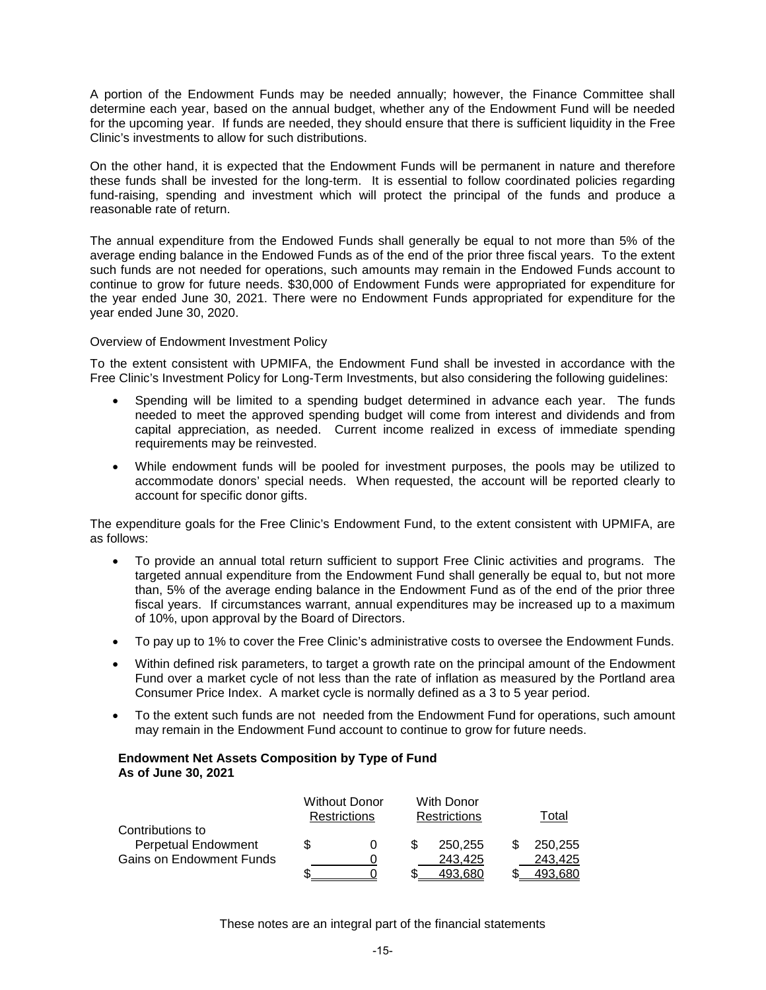A portion of the Endowment Funds may be needed annually; however, the Finance Committee shall determine each year, based on the annual budget, whether any of the Endowment Fund will be needed for the upcoming year. If funds are needed, they should ensure that there is sufficient liquidity in the Free Clinic's investments to allow for such distributions.

On the other hand, it is expected that the Endowment Funds will be permanent in nature and therefore these funds shall be invested for the long-term. It is essential to follow coordinated policies regarding fund-raising, spending and investment which will protect the principal of the funds and produce a reasonable rate of return.

The annual expenditure from the Endowed Funds shall generally be equal to not more than 5% of the average ending balance in the Endowed Funds as of the end of the prior three fiscal years. To the extent such funds are not needed for operations, such amounts may remain in the Endowed Funds account to continue to grow for future needs. \$30,000 of Endowment Funds were appropriated for expenditure for the year ended June 30, 2021. There were no Endowment Funds appropriated for expenditure for the year ended June 30, 2020.

## Overview of Endowment Investment Policy

To the extent consistent with UPMIFA, the Endowment Fund shall be invested in accordance with the Free Clinic's Investment Policy for Long-Term Investments, but also considering the following guidelines:

- Spending will be limited to a spending budget determined in advance each year. The funds needed to meet the approved spending budget will come from interest and dividends and from capital appreciation, as needed. Current income realized in excess of immediate spending requirements may be reinvested.
- While endowment funds will be pooled for investment purposes, the pools may be utilized to accommodate donors' special needs. When requested, the account will be reported clearly to account for specific donor gifts.

The expenditure goals for the Free Clinic's Endowment Fund, to the extent consistent with UPMIFA, are as follows:

- To provide an annual total return sufficient to support Free Clinic activities and programs. The targeted annual expenditure from the Endowment Fund shall generally be equal to, but not more than, 5% of the average ending balance in the Endowment Fund as of the end of the prior three fiscal years. If circumstances warrant, annual expenditures may be increased up to a maximum of 10%, upon approval by the Board of Directors.
- To pay up to 1% to cover the Free Clinic's administrative costs to oversee the Endowment Funds.
- Within defined risk parameters, to target a growth rate on the principal amount of the Endowment Fund over a market cycle of not less than the rate of inflation as measured by the Portland area Consumer Price Index. A market cycle is normally defined as a 3 to 5 year period.
- To the extent such funds are not needed from the Endowment Fund for operations, such amount may remain in the Endowment Fund account to continue to grow for future needs.

## **Endowment Net Assets Composition by Type of Fund As of June 30, 2021**

|                                 | <b>Without Donor</b><br><b>Restrictions</b> | <b>With Donor</b><br><b>Restrictions</b> | Total   |
|---------------------------------|---------------------------------------------|------------------------------------------|---------|
| Contributions to                |                                             |                                          |         |
| <b>Perpetual Endowment</b>      |                                             | 250.255                                  | 250.255 |
| <b>Gains on Endowment Funds</b> |                                             | 243,425                                  | 243.425 |
|                                 |                                             | 493.680                                  | 493.680 |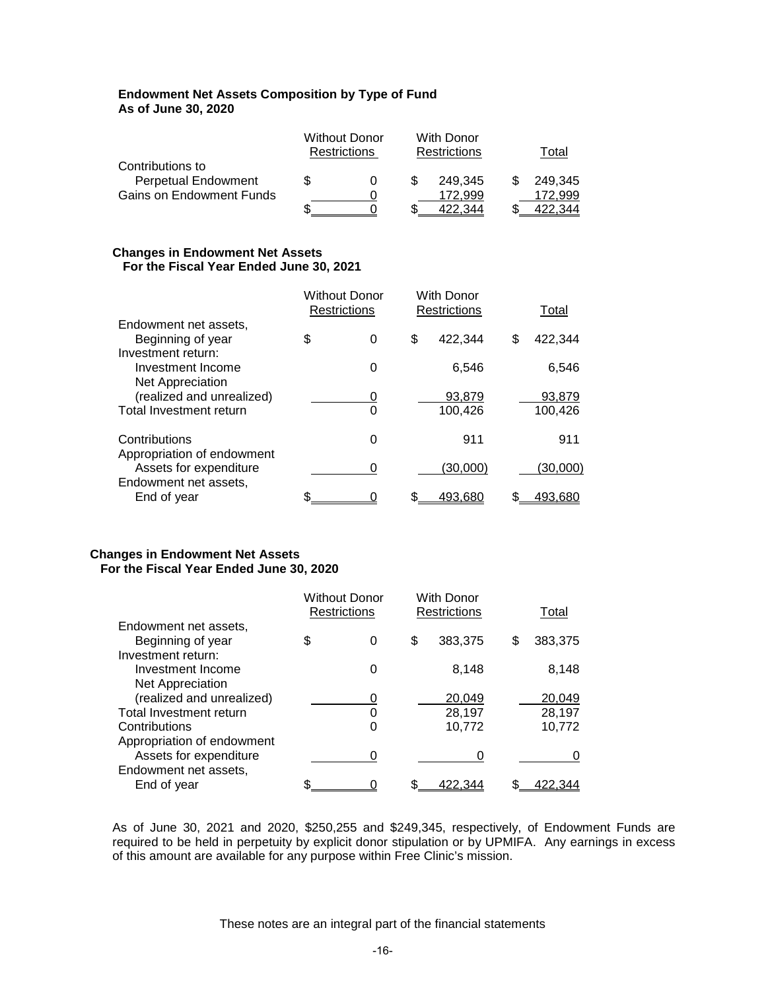## **Endowment Net Assets Composition by Type of Fund As of June 30, 2020**

|                                 |   | <b>Without Donor</b><br><b>Restrictions</b> | With Donor<br><b>Restrictions</b> | Total   |
|---------------------------------|---|---------------------------------------------|-----------------------------------|---------|
| Contributions to                |   |                                             |                                   |         |
| <b>Perpetual Endowment</b>      | S |                                             | 249.345                           | 249.345 |
| <b>Gains on Endowment Funds</b> |   |                                             | 172.999                           | 172.999 |
|                                 |   |                                             | 344                               |         |

## **Changes in Endowment Net Assets For the Fiscal Year Ended June 30, 2021**

|                                                                    | <b>Without Donor</b><br><b>Restrictions</b> |   | With Donor<br><b>Restrictions</b> |          | Total |          |
|--------------------------------------------------------------------|---------------------------------------------|---|-----------------------------------|----------|-------|----------|
| Endowment net assets,                                              |                                             |   |                                   |          |       |          |
| Beginning of year                                                  | \$                                          | 0 | \$                                | 422,344  | \$    | 422,344  |
| Investment return:<br>Investment Income<br><b>Net Appreciation</b> |                                             | 0 |                                   | 6,546    |       | 6,546    |
| (realized and unrealized)                                          |                                             | 0 |                                   | 93,879   |       | 93,879   |
| Total Investment return                                            |                                             | 0 |                                   | 100,426  |       | 100,426  |
| Contributions<br>Appropriation of endowment                        |                                             | 0 |                                   | 911      |       | 911      |
| Assets for expenditure                                             |                                             | 0 |                                   | (30,000) |       | (30,000) |
| Endowment net assets,                                              |                                             |   |                                   |          |       |          |
| End of year                                                        | \$                                          |   |                                   | 493,680  |       | 493,680  |

## **Changes in Endowment Net Assets For the Fiscal Year Ended June 30, 2020**

|                            | <b>Without Donor</b><br>Restrictions |   | With Donor<br>Restrictions |         |   | Total   |
|----------------------------|--------------------------------------|---|----------------------------|---------|---|---------|
| Endowment net assets,      |                                      |   |                            |         |   |         |
| Beginning of year          | \$                                   | 0 | \$                         | 383,375 | S | 383,375 |
| Investment return:         |                                      |   |                            |         |   |         |
| Investment Income          |                                      | 0 |                            | 8,148   |   | 8,148   |
| Net Appreciation           |                                      |   |                            |         |   |         |
| (realized and unrealized)  |                                      |   |                            | 20,049  |   | 20,049  |
| Total Investment return    |                                      | 0 |                            | 28,197  |   | 28,197  |
| Contributions              |                                      | 0 |                            | 10,772  |   | 10,772  |
| Appropriation of endowment |                                      |   |                            |         |   |         |
| Assets for expenditure     |                                      |   |                            | 0       |   |         |
| Endowment net assets,      |                                      |   |                            |         |   |         |
| End of year                | c                                    |   |                            |         |   |         |

As of June 30, 2021 and 2020, \$250,255 and \$249,345, respectively, of Endowment Funds are required to be held in perpetuity by explicit donor stipulation or by UPMIFA. Any earnings in excess of this amount are available for any purpose within Free Clinic's mission.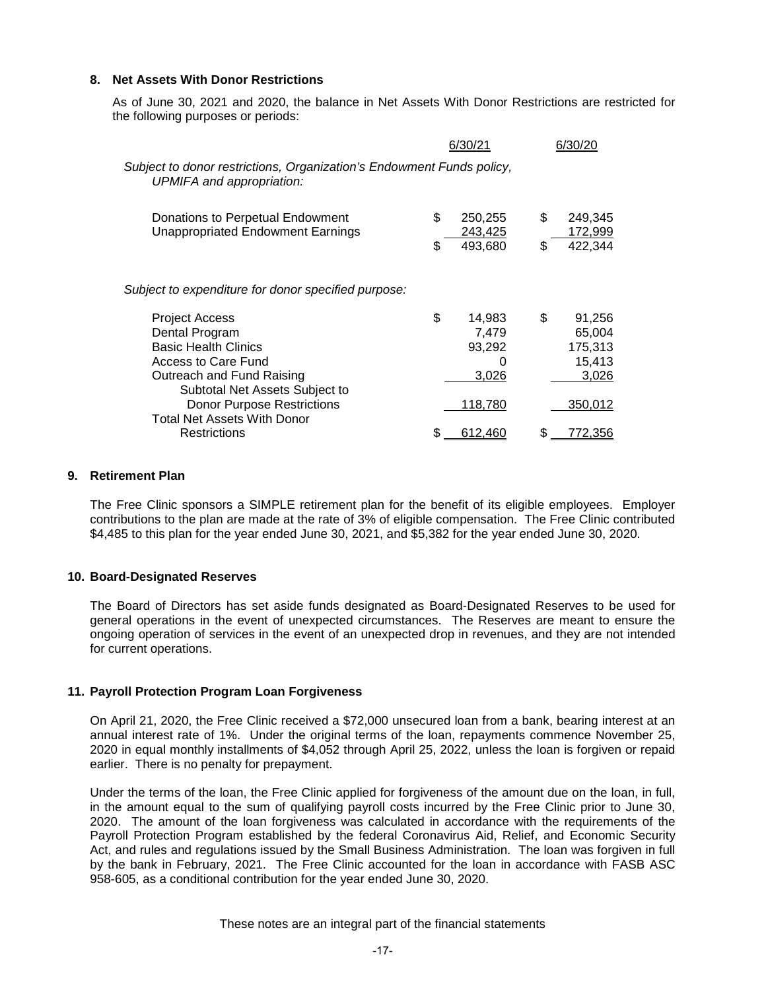## **8. Net Assets With Donor Restrictions**

As of June 30, 2021 and 2020, the balance in Net Assets With Donor Restrictions are restricted for the following purposes or periods:

|                                                                                                                                                       | 6/30/21                                       | 6/30/20                                              |
|-------------------------------------------------------------------------------------------------------------------------------------------------------|-----------------------------------------------|------------------------------------------------------|
| Subject to donor restrictions, Organization's Endowment Funds policy,<br>UPMIFA and appropriation:                                                    |                                               |                                                      |
| Donations to Perpetual Endowment<br><b>Unappropriated Endowment Earnings</b>                                                                          | \$<br>250,255<br>243,425<br>493,680<br>\$     | \$<br>249,345<br>172,999<br>422,344<br>\$            |
| Subject to expenditure for donor specified purpose:                                                                                                   |                                               |                                                      |
| Project Access<br>Dental Program<br><b>Basic Health Clinics</b><br>Access to Care Fund<br>Outreach and Fund Raising<br>Subtotal Net Assets Subject to | \$<br>14,983<br>7,479<br>93,292<br>O<br>3,026 | \$<br>91,256<br>65,004<br>175,313<br>15,413<br>3,026 |
| <b>Donor Purpose Restrictions</b><br><b>Total Net Assets With Donor</b>                                                                               | 118,780                                       | 350,012                                              |
| <b>Restrictions</b>                                                                                                                                   | 612,460                                       | S.<br>772,356                                        |

#### **9. Retirement Plan**

The Free Clinic sponsors a SIMPLE retirement plan for the benefit of its eligible employees. Employer contributions to the plan are made at the rate of 3% of eligible compensation. The Free Clinic contributed \$4,485 to this plan for the year ended June 30, 2021, and \$5,382 for the year ended June 30, 2020.

## **10. Board-Designated Reserves**

The Board of Directors has set aside funds designated as Board-Designated Reserves to be used for general operations in the event of unexpected circumstances. The Reserves are meant to ensure the ongoing operation of services in the event of an unexpected drop in revenues, and they are not intended for current operations.

## **11. Payroll Protection Program Loan Forgiveness**

On April 21, 2020, the Free Clinic received a \$72,000 unsecured loan from a bank, bearing interest at an annual interest rate of 1%. Under the original terms of the loan, repayments commence November 25, 2020 in equal monthly installments of \$4,052 through April 25, 2022, unless the loan is forgiven or repaid earlier. There is no penalty for prepayment.

Under the terms of the loan, the Free Clinic applied for forgiveness of the amount due on the loan, in full, in the amount equal to the sum of qualifying payroll costs incurred by the Free Clinic prior to June 30, 2020. The amount of the loan forgiveness was calculated in accordance with the requirements of the Payroll Protection Program established by the federal Coronavirus Aid, Relief, and Economic Security Act, and rules and regulations issued by the Small Business Administration. The loan was forgiven in full by the bank in February, 2021. The Free Clinic accounted for the loan in accordance with FASB ASC 958-605, as a conditional contribution for the year ended June 30, 2020.